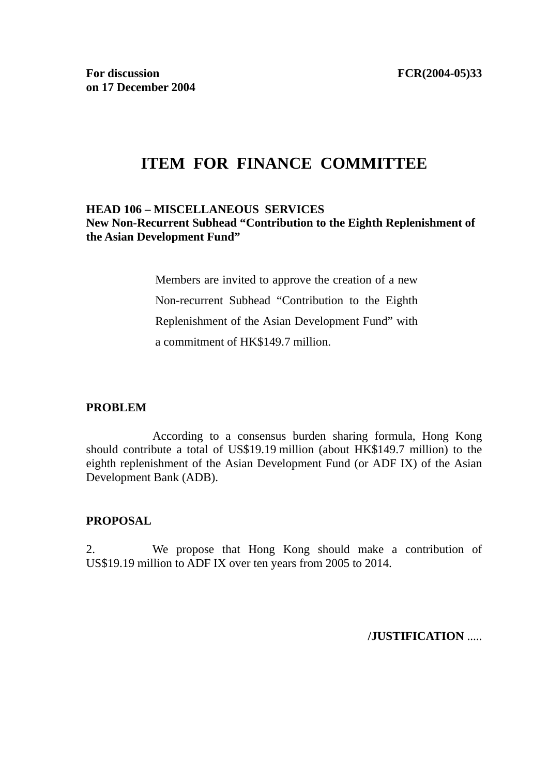# **ITEM FOR FINANCE COMMITTEE**

# **HEAD 106 – MISCELLANEOUS SERVICES New Non-Recurrent Subhead "Contribution to the Eighth Replenishment of the Asian Development Fund"**

Members are invited to approve the creation of a new Non-recurrent Subhead "Contribution to the Eighth Replenishment of the Asian Development Fund" with a commitment of HK\$149.7 million.

### **PROBLEM**

 According to a consensus burden sharing formula, Hong Kong should contribute a total of US\$19.19 million (about HK\$149.7 million) to the eighth replenishment of the Asian Development Fund (or ADF IX) of the Asian Development Bank (ADB).

### **PROPOSAL**

2. We propose that Hong Kong should make a contribution of US\$19.19 million to ADF IX over ten years from 2005 to 2014.

**/JUSTIFICATION** .....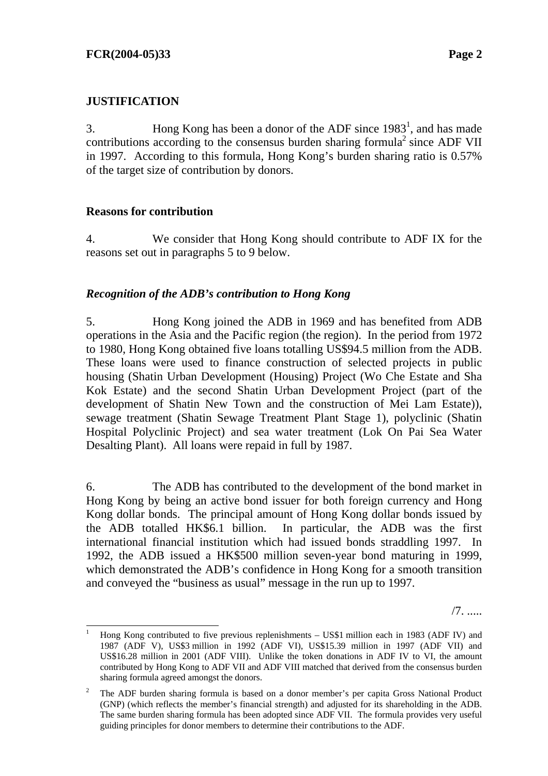# **JUSTIFICATION**

3. Hong Kong has been a donor of the ADF since  $1983<sup>1</sup>$ , and has made contributions according to the consensus burden sharing formula<sup>2</sup> since ADF VII in 1997. According to this formula, Hong Kong's burden sharing ratio is 0.57% of the target size of contribution by donors.

# **Reasons for contribution**

4. We consider that Hong Kong should contribute to ADF IX for the reasons set out in paragraphs 5 to 9 below.

# *Recognition of the ADB's contribution to Hong Kong*

5. Hong Kong joined the ADB in 1969 and has benefited from ADB operations in the Asia and the Pacific region (the region). In the period from 1972 to 1980, Hong Kong obtained five loans totalling US\$94.5 million from the ADB. These loans were used to finance construction of selected projects in public housing (Shatin Urban Development (Housing) Project (Wo Che Estate and Sha Kok Estate) and the second Shatin Urban Development Project (part of the development of Shatin New Town and the construction of Mei Lam Estate)), sewage treatment (Shatin Sewage Treatment Plant Stage 1), polyclinic (Shatin Hospital Polyclinic Project) and sea water treatment (Lok On Pai Sea Water Desalting Plant). All loans were repaid in full by 1987.

6. The ADB has contributed to the development of the bond market in Hong Kong by being an active bond issuer for both foreign currency and Hong Kong dollar bonds. The principal amount of Hong Kong dollar bonds issued by the ADB totalled HK\$6.1 billion. In particular, the ADB was the first international financial institution which had issued bonds straddling 1997. In 1992, the ADB issued a HK\$500 million seven-year bond maturing in 1999, which demonstrated the ADB's confidence in Hong Kong for a smooth transition and conveyed the "business as usual" message in the run up to 1997.

/7. .....

<sup>|&</sup>lt;br>|<br>| Hong Kong contributed to five previous replenishments – US\$1 million each in 1983 (ADF IV) and 1987 (ADF V), US\$3 million in 1992 (ADF VI), US\$15.39 million in 1997 (ADF VII) and US\$16.28 million in 2001 (ADF VIII). Unlike the token donations in ADF IV to VI, the amount contributed by Hong Kong to ADF VII and ADF VIII matched that derived from the consensus burden sharing formula agreed amongst the donors.

<sup>2</sup> The ADF burden sharing formula is based on a donor member's per capita Gross National Product (GNP) (which reflects the member's financial strength) and adjusted for its shareholding in the ADB. The same burden sharing formula has been adopted since ADF VII. The formula provides very useful guiding principles for donor members to determine their contributions to the ADF.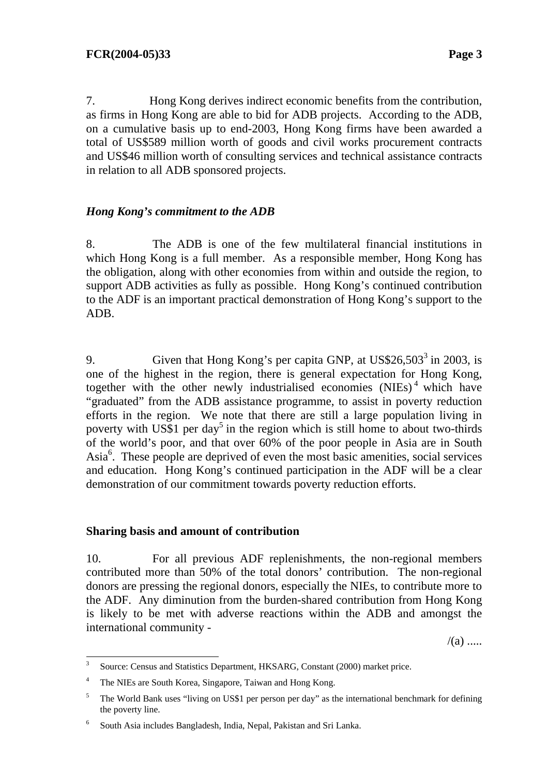7. Hong Kong derives indirect economic benefits from the contribution, as firms in Hong Kong are able to bid for ADB projects. According to the ADB, on a cumulative basis up to end-2003, Hong Kong firms have been awarded a total of US\$589 million worth of goods and civil works procurement contracts and US\$46 million worth of consulting services and technical assistance contracts in relation to all ADB sponsored projects.

# *Hong Kong's commitment to the ADB*

8. The ADB is one of the few multilateral financial institutions in which Hong Kong is a full member. As a responsible member, Hong Kong has the obligation, along with other economies from within and outside the region, to support ADB activities as fully as possible. Hong Kong's continued contribution to the ADF is an important practical demonstration of Hong Kong's support to the ADB.

9. Given that Hong Kong's per capita GNP, at  $US$26,503^3$  in 2003, is one of the highest in the region, there is general expectation for Hong Kong, together with the other newly industrialised economies (NIEs)<sup>4</sup> which have "graduated" from the ADB assistance programme, to assist in poverty reduction efforts in the region. We note that there are still a large population living in poverty with US\$1 per day<sup>5</sup> in the region which is still home to about two-thirds of the world's poor, and that over 60% of the poor people in Asia are in South Asia<sup>6</sup>. These people are deprived of even the most basic amenities, social services and education. Hong Kong's continued participation in the ADF will be a clear demonstration of our commitment towards poverty reduction efforts.

### **Sharing basis and amount of contribution**

10. For all previous ADF replenishments, the non-regional members contributed more than 50% of the total donors' contribution. The non-regional donors are pressing the regional donors, especially the NIEs, to contribute more to the ADF. Any diminution from the burden-shared contribution from Hong Kong is likely to be met with adverse reactions within the ADB and amongst the international community -

 $/(a)$  .....

 3 Source: Census and Statistics Department, HKSARG, Constant (2000) market price.

<sup>4</sup> The NIEs are South Korea, Singapore, Taiwan and Hong Kong.

<sup>5</sup> The World Bank uses "living on US\$1 per person per day" as the international benchmark for defining the poverty line.

<sup>6</sup> South Asia includes Bangladesh, India, Nepal, Pakistan and Sri Lanka.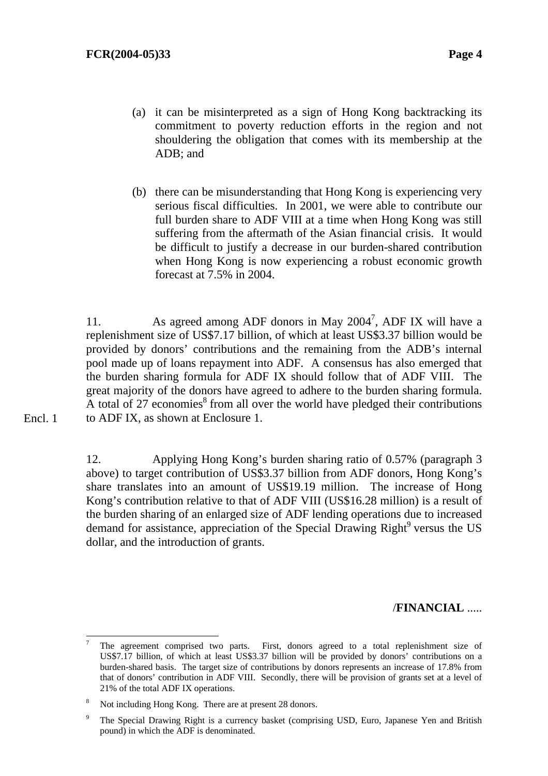- (a) it can be misinterpreted as a sign of Hong Kong backtracking its commitment to poverty reduction efforts in the region and not shouldering the obligation that comes with its membership at the ADB; and
- (b) there can be misunderstanding that Hong Kong is experiencing very serious fiscal difficulties. In 2001, we were able to contribute our full burden share to ADF VIII at a time when Hong Kong was still suffering from the aftermath of the Asian financial crisis. It would be difficult to justify a decrease in our burden-shared contribution when Hong Kong is now experiencing a robust economic growth forecast at 7.5% in 2004.

11. As agreed among ADF donors in May 2004<sup>7</sup>, ADF IX will have a replenishment size of US\$7.17 billion, of which at least US\$3.37 billion would be provided by donors' contributions and the remaining from the ADB's internal pool made up of loans repayment into ADF. A consensus has also emerged that the burden sharing formula for ADF IX should follow that of ADF VIII. The great majority of the donors have agreed to adhere to the burden sharing formula. A total of 27 economies $<sup>8</sup>$  from all over the world have pledged their contributions</sup> to ADF IX, as shown at Enclosure 1.

12. Applying Hong Kong's burden sharing ratio of 0.57% (paragraph 3 above) to target contribution of US\$3.37 billion from ADF donors, Hong Kong's share translates into an amount of US\$19.19 million. The increase of Hong Kong's contribution relative to that of ADF VIII (US\$16.28 million) is a result of the burden sharing of an enlarged size of ADF lending operations due to increased demand for assistance, appreciation of the Special Drawing Right<sup>9</sup> versus the US dollar, and the introduction of grants.

/**FINANCIAL** .....

l

Encl. 1

<sup>7</sup> The agreement comprised two parts. First, donors agreed to a total replenishment size of US\$7.17 billion, of which at least US\$3.37 billion will be provided by donors' contributions on a burden-shared basis. The target size of contributions by donors represents an increase of 17.8% from that of donors' contribution in ADF VIII. Secondly, there will be provision of grants set at a level of 21% of the total ADF IX operations.

<sup>8</sup> Not including Hong Kong. There are at present 28 donors.

<sup>9</sup> The Special Drawing Right is a currency basket (comprising USD, Euro, Japanese Yen and British pound) in which the ADF is denominated.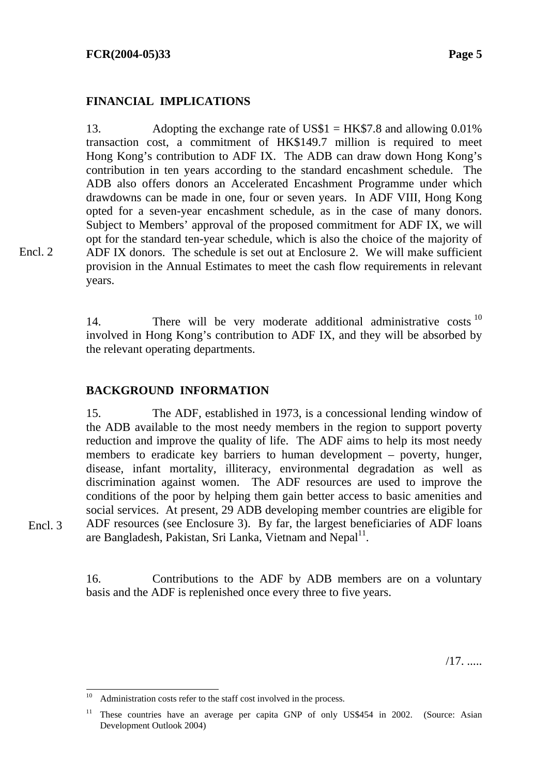### **FINANCIAL IMPLICATIONS**

13. Adopting the exchange rate of US\$1 = HK\$7.8 and allowing 0.01% transaction cost, a commitment of HK\$149.7 million is required to meet Hong Kong's contribution to ADF IX. The ADB can draw down Hong Kong's contribution in ten years according to the standard encashment schedule. The ADB also offers donors an Accelerated Encashment Programme under which drawdowns can be made in one, four or seven years. In ADF VIII, Hong Kong opted for a seven-year encashment schedule, as in the case of many donors. Subject to Members' approval of the proposed commitment for ADF IX, we will opt for the standard ten-year schedule, which is also the choice of the majority of ADF IX donors. The schedule is set out at Enclosure 2. We will make sufficient provision in the Annual Estimates to meet the cash flow requirements in relevant years.

14. There will be very moderate additional administrative costs  $10$ involved in Hong Kong's contribution to ADF IX, and they will be absorbed by the relevant operating departments.

## **BACKGROUND INFORMATION**

15. The ADF, established in 1973, is a concessional lending window of the ADB available to the most needy members in the region to support poverty reduction and improve the quality of life. The ADF aims to help its most needy members to eradicate key barriers to human development – poverty, hunger, disease, infant mortality, illiteracy, environmental degradation as well as discrimination against women. The ADF resources are used to improve the conditions of the poor by helping them gain better access to basic amenities and social services. At present, 29 ADB developing member countries are eligible for ADF resources (see Enclosure 3). By far, the largest beneficiaries of ADF loans are Bangladesh, Pakistan, Sri Lanka, Vietnam and Nepal<sup>11</sup>.

16. Contributions to the ADF by ADB members are on a voluntary basis and the ADF is replenished once every three to five years.

/17. .....

l

Encl. 2

Encl. 3

Administration costs refer to the staff cost involved in the process.

<sup>&</sup>lt;sup>11</sup> These countries have an average per capita GNP of only US\$454 in 2002. (Source: Asian Development Outlook 2004)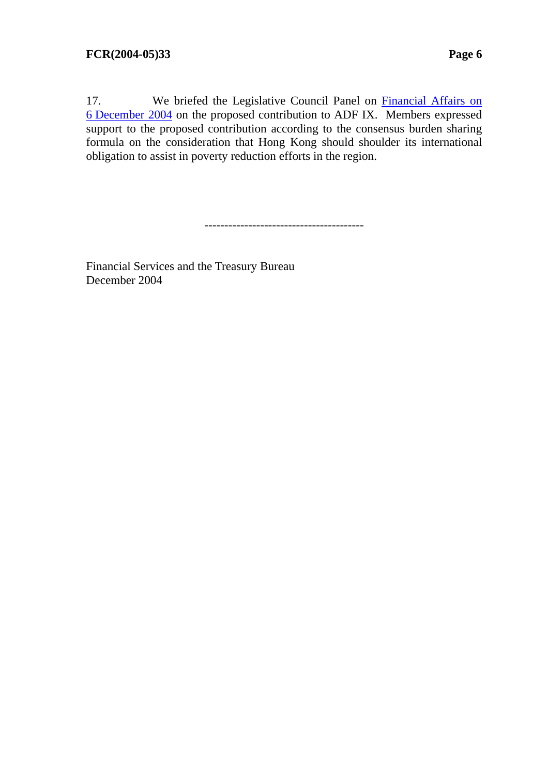17. We briefed the Legislative Council Panel on Financial Affairs on [6 December 2004 o](http://www.legco.gov.hk/yr04-05/english/panels/fa/general/fa0405.htm#041206)n the proposed contribution to ADF IX. Members expressed support to the proposed contribution according to the consensus burden sharing formula on the consideration that Hong Kong should shoulder its international obligation to assist in poverty reduction efforts in the region.

----------------------------------------

Financial Services and the Treasury Bureau December 2004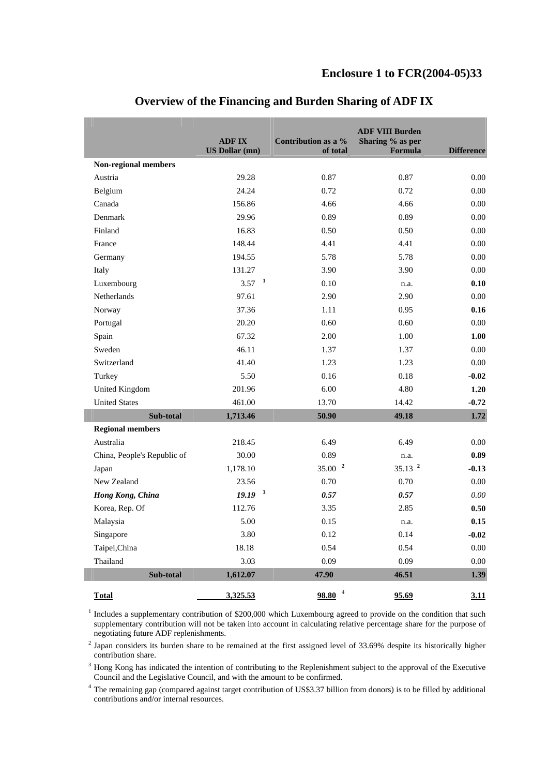|                             | <b>ADFIX</b><br><b>US Dollar (mn)</b> | Contribution as a %<br>of total | <b>ADF VIII Burden</b><br>Sharing % as per<br>Formula | <b>Difference</b> |
|-----------------------------|---------------------------------------|---------------------------------|-------------------------------------------------------|-------------------|
| Non-regional members        |                                       |                                 |                                                       |                   |
| Austria                     | 29.28                                 | 0.87                            | 0.87                                                  | 0.00              |
| Belgium                     | 24.24                                 | 0.72                            | 0.72                                                  | 0.00              |
| Canada                      | 156.86                                | 4.66                            | 4.66                                                  | 0.00              |
| Denmark                     | 29.96                                 | 0.89                            | 0.89                                                  | 0.00              |
| Finland                     | 16.83                                 | 0.50                            | 0.50                                                  | 0.00              |
| France                      | 148.44                                | 4.41                            | 4.41                                                  | 0.00              |
| Germany                     | 194.55                                | 5.78                            | 5.78                                                  | 0.00              |
| Italy                       | 131.27                                | 3.90                            | 3.90                                                  | 0.00              |
| Luxembourg                  | $3.57$ <sup>1</sup>                   | 0.10                            | n.a.                                                  | 0.10              |
| Netherlands                 | 97.61                                 | 2.90                            | 2.90                                                  | 0.00              |
| Norway                      | 37.36                                 | 1.11                            | 0.95                                                  | 0.16              |
| Portugal                    | 20.20                                 | 0.60                            | 0.60                                                  | 0.00              |
| Spain                       | 67.32                                 | 2.00                            | 1.00                                                  | 1.00              |
| Sweden                      | 46.11                                 | 1.37                            | 1.37                                                  | 0.00              |
| Switzerland                 | 41.40                                 | 1.23                            | 1.23                                                  | 0.00              |
| Turkey                      | 5.50                                  | 0.16                            | 0.18                                                  | $-0.02$           |
| <b>United Kingdom</b>       | 201.96                                | 6.00                            | 4.80                                                  | 1.20              |
| <b>United States</b>        | 461.00                                | 13.70                           | 14.42                                                 | $-0.72$           |
| Sub-total                   | 1,713.46                              | 50.90                           | 49.18                                                 | 1.72              |
| <b>Regional members</b>     |                                       |                                 |                                                       |                   |
| Australia                   | 218.45                                | 6.49                            | 6.49                                                  | 0.00              |
| China, People's Republic of | 30.00                                 | 0.89                            | n.a.                                                  | 0.89              |
| Japan                       | 1,178.10                              | 35.00 <sup>2</sup>              | $35.13^{2}$                                           | $-0.13$           |
| New Zealand                 | 23.56                                 | 0.70                            | 0.70                                                  | 0.00              |
| Hong Kong, China            | $19.19-3$                             | 0.57                            | 0.57                                                  | 0.00              |
| Korea, Rep. Of              | 112.76                                | 3.35                            | 2.85                                                  | 0.50              |
| Malaysia                    | 5.00                                  | 0.15                            | n.a.                                                  | 0.15              |
| Singapore                   | 3.80                                  | 0.12                            | 0.14                                                  | $-0.02$           |
| Taipei, China               | 18.18                                 | 0.54                            | 0.54                                                  | 0.00              |
| Thailand                    | 3.03                                  | 0.09                            | 0.09                                                  | 0.00              |
| Sub-total                   | 1,612.07                              | 47.90                           | 46.51                                                 | 1.39              |
| Total                       | 3,325.53                              | $98.80$ <sup>4</sup>            | 95.69                                                 | 3.11              |

# **Overview of the Financing and Burden Sharing of ADF IX**

 $1$  Includes a supplementary contribution of \$200,000 which Luxembourg agreed to provide on the condition that such supplementary contribution will not be taken into account in calculating relative percentage share for the purpose of negotiating future ADF replenishments.

 $2$  Japan considers its burden share to be remained at the first assigned level of 33.69% despite its historically higher contribution share.

<sup>3</sup> Hong Kong has indicated the intention of contributing to the Replenishment subject to the approval of the Executive Council and the Legislative Council, and with the amount to be confirmed.

<sup>4</sup> The remaining gap (compared against target contribution of US\$3.37 billion from donors) is to be filled by additional contributions and/or internal resources.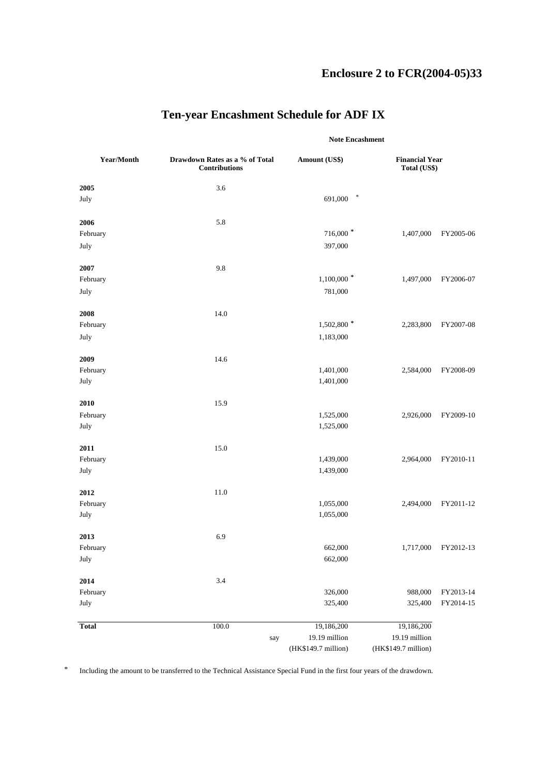# **Enclosure 2 to FCR(2004-05)33**

|              |                                                        |                     | <b>Note Encashment</b> |                                       |  |
|--------------|--------------------------------------------------------|---------------------|------------------------|---------------------------------------|--|
| Year/Month   | Drawdown Rates as a % of Total<br><b>Contributions</b> | Amount (US\$)       |                        | <b>Financial Year</b><br>Total (US\$) |  |
| 2005         | 3.6                                                    |                     |                        |                                       |  |
| July         |                                                        | $\ast$<br>691,000   |                        |                                       |  |
| 2006         | 5.8                                                    |                     |                        |                                       |  |
| February     |                                                        | 716,000 *           | 1,407,000              | FY2005-06                             |  |
| July         |                                                        | 397,000             |                        |                                       |  |
| 2007         | 9.8                                                    |                     |                        |                                       |  |
| February     |                                                        | $1,100,000$ *       | 1,497,000              | FY2006-07                             |  |
| July         |                                                        | 781,000             |                        |                                       |  |
| 2008         | 14.0                                                   |                     |                        |                                       |  |
| February     |                                                        | 1,502,800 $*$       | 2,283,800              | FY2007-08                             |  |
| July         |                                                        | 1,183,000           |                        |                                       |  |
| 2009         | 14.6                                                   |                     |                        |                                       |  |
| February     |                                                        | 1,401,000           | 2,584,000              | FY2008-09                             |  |
| July         |                                                        | 1,401,000           |                        |                                       |  |
| 2010         | 15.9                                                   |                     |                        |                                       |  |
| February     |                                                        | 1,525,000           | 2,926,000              | FY2009-10                             |  |
| July         |                                                        | 1,525,000           |                        |                                       |  |
| 2011         | 15.0                                                   |                     |                        |                                       |  |
| February     |                                                        | 1,439,000           | 2,964,000              | FY2010-11                             |  |
| July         |                                                        | 1,439,000           |                        |                                       |  |
| 2012         | 11.0                                                   |                     |                        |                                       |  |
| February     |                                                        | 1,055,000           | 2,494,000              | FY2011-12                             |  |
| July         |                                                        | 1,055,000           |                        |                                       |  |
| 2013         | 6.9                                                    |                     |                        |                                       |  |
| February     |                                                        | 662,000             |                        | 1,717,000 FY2012-13                   |  |
| July         |                                                        | 662,000             |                        |                                       |  |
| 2014         | 3.4                                                    |                     |                        |                                       |  |
| February     |                                                        | 326,000             | 988,000                | FY2013-14                             |  |
| July         |                                                        | 325,400             | 325,400                | FY2014-15                             |  |
| <b>Total</b> | 100.0                                                  | 19,186,200          | 19,186,200             |                                       |  |
|              | say                                                    | 19.19 million       | 19.19 million          |                                       |  |
|              |                                                        | (HK\$149.7 million) | (HK\$149.7 million)    |                                       |  |

# **Ten-year Encashment Schedule for ADF IX**

\* Including the amount to be transferred to the Technical Assistance Special Fund in the first four years of the drawdown.